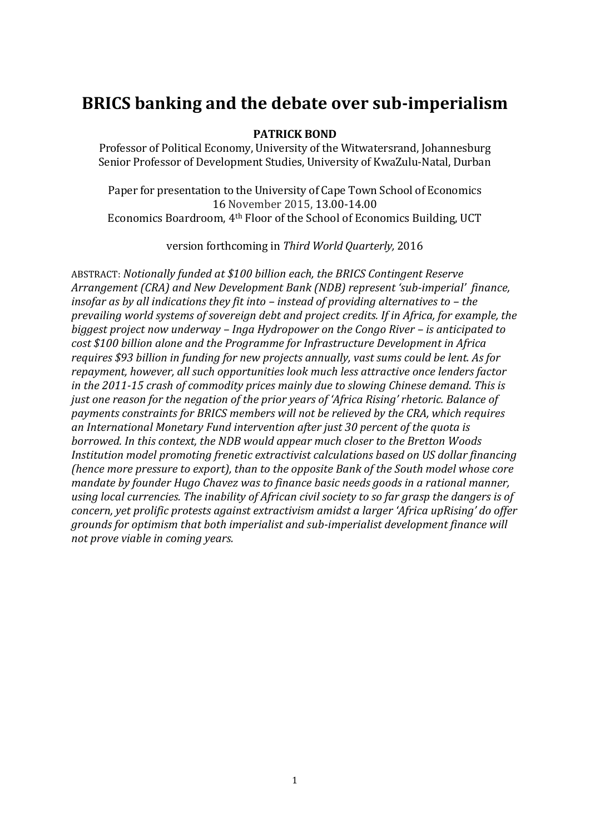# **BRICS banking and the debate over sub-imperialism**

#### **PATRICK BOND**

Professor of Political Economy, University of the Witwatersrand, Johannesburg Senior Professor of Development Studies, University of KwaZulu-Natal, Durban

Paper for presentation to the University of Cape Town School of Economics 16 November 2015, 13.00-14.00 Economics Boardroom, 4th Floor of the School of Economics Building, UCT

version forthcoming in *Third World Quarterly,* 2016

ABSTRACT: *Notionally funded at \$100 billion each, the BRICS Contingent Reserve Arrangement (CRA) and New Development Bank (NDB) represent 'sub-imperial' finance, insofar as by all indications they fit into – instead of providing alternatives to – the prevailing world systems of sovereign debt and project credits. If in Africa, for example, the biggest project now underway – Inga Hydropower on the Congo River – is anticipated to cost \$100 billion alone and the Programme for Infrastructure Development in Africa requires \$93 billion in funding for new projects annually, vast sums could be lent. As for repayment, however, all such opportunities look much less attractive once lenders factor in the 2011-15 crash of commodity prices mainly due to slowing Chinese demand. This is just one reason for the negation of the prior years of 'Africa Rising' rhetoric. Balance of payments constraints for BRICS members will not be relieved by the CRA, which requires an International Monetary Fund intervention after just 30 percent of the quota is borrowed. In this context, the NDB would appear much closer to the Bretton Woods Institution model promoting frenetic extractivist calculations based on US dollar financing (hence more pressure to export), than to the opposite Bank of the South model whose core mandate by founder Hugo Chavez was to finance basic needs goods in a rational manner, using local currencies. The inability of African civil society to so far grasp the dangers is of concern, yet prolific protests against extractivism amidst a larger 'Africa upRising' do offer grounds for optimism that both imperialist and sub-imperialist development finance will not prove viable in coming years.*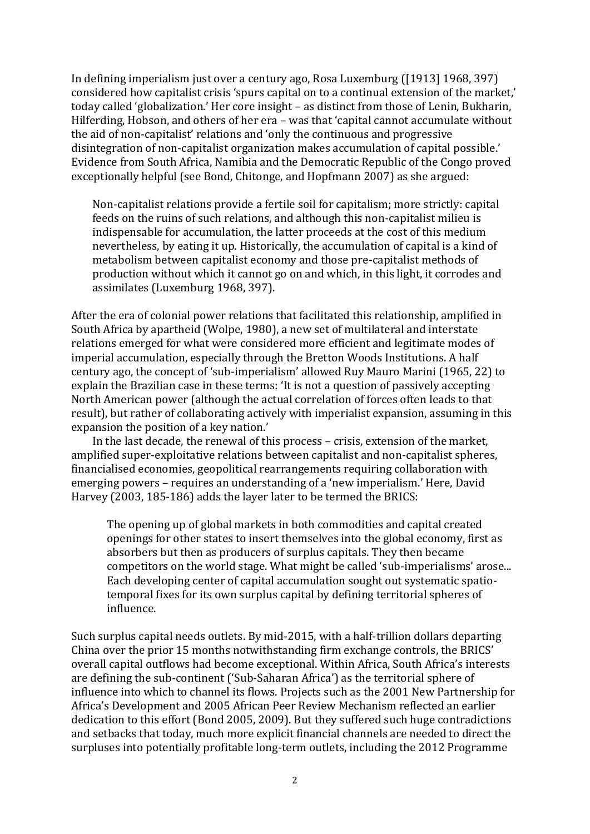In defining imperialism just over a century ago, Rosa Luxemburg ([1913] 1968, 397) considered how capitalist crisis 'spurs capital on to a continual extension of the market,' today called 'globalization.' Her core insight – as distinct from those of Lenin, Bukharin, Hilferding, Hobson, and others of her era – was that 'capital cannot accumulate without the aid of non-capitalist' relations and 'only the continuous and progressive disintegration of non-capitalist organization makes accumulation of capital possible.' Evidence from South Africa, Namibia and the Democratic Republic of the Congo proved exceptionally helpful (see Bond, Chitonge, and Hopfmann 2007) as she argued:

Non-capitalist relations provide a fertile soil for capitalism; more strictly: capital feeds on the ruins of such relations, and although this non-capitalist milieu is indispensable for accumulation, the latter proceeds at the cost of this medium nevertheless, by eating it up. Historically, the accumulation of capital is a kind of metabolism between capitalist economy and those pre-capitalist methods of production without which it cannot go on and which, in this light, it corrodes and assimilates (Luxemburg 1968, 397).

After the era of colonial power relations that facilitated this relationship, amplified in South Africa by apartheid (Wolpe, 1980), a new set of multilateral and interstate relations emerged for what were considered more efficient and legitimate modes of imperial accumulation, especially through the Bretton Woods Institutions. A half century ago, the concept of 'sub-imperialism' allowed Ruy Mauro Marini (1965, 22) to explain the Brazilian case in these terms: 'It is not a question of passively accepting North American power (although the actual correlation of forces often leads to that result), but rather of collaborating actively with imperialist expansion, assuming in this expansion the position of a key nation.'

In the last decade, the renewal of this process – crisis, extension of the market, amplified super-exploitative relations between capitalist and non-capitalist spheres, financialised economies, geopolitical rearrangements requiring collaboration with emerging powers – requires an understanding of a 'new imperialism.' Here, David Harvey (2003, 185-186) adds the layer later to be termed the BRICS:

The opening up of global markets in both commodities and capital created openings for other states to insert themselves into the global economy, first as absorbers but then as producers of surplus capitals. They then became competitors on the world stage. What might be called 'sub-imperialisms' arose... Each developing center of capital accumulation sought out systematic spatiotemporal fixes for its own surplus capital by defining territorial spheres of influence.

Such surplus capital needs outlets. By mid-2015, with a half-trillion dollars departing China over the prior 15 months notwithstanding firm exchange controls, the BRICS' overall capital outflows had become exceptional. Within Africa, South Africa's interests are defining the sub-continent ('Sub-Saharan Africa') as the territorial sphere of influence into which to channel its flows. Projects such as the 2001 New Partnership for Africa's Development and 2005 African Peer Review Mechanism reflected an earlier dedication to this effort (Bond 2005, 2009). But they suffered such huge contradictions and setbacks that today, much more explicit financial channels are needed to direct the surpluses into potentially profitable long-term outlets, including the 2012 Programme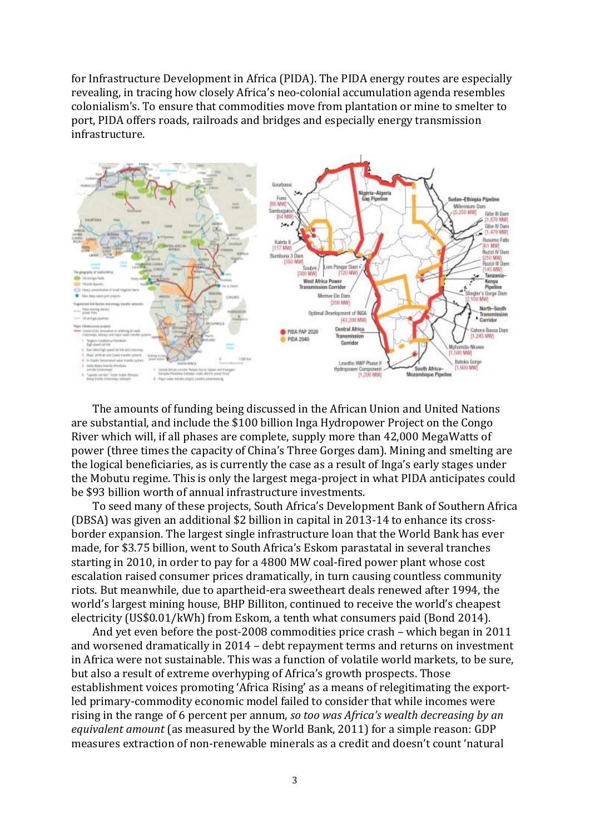for Infrastructure Development in Africa (PIDA). The PIDA energy routes are especially revealing, in tracing how closely Africa's neo-colonial accumulation agenda resembles colonialism's. To ensure that commodities move from plantation or mine to smelter to port, PIDA offers roads, railroads and bridges and especially energy transmission infrastructure.



The amounts of funding being discussed in the African Union and United Nations are substantial, and include the \$100 billion Inga Hydropower Project on the Congo River which will, if all phases are complete, supply more than 42,000 MegaWatts of power (three times the capacity of China's Three Gorges dam). Mining and smelting are the logical beneficiaries, as is currently the case as a result of Inga's early stages under the Mobutu regime. This is only the largest mega-project in what PIDA anticipates could be \$93 billion worth of annual infrastructure investments.

To seed many of these projects, South Africa's Development Bank of Southern Africa (DBSA) was given an additional \$2 billion in capital in 2013-14 to enhance its crossborder expansion. The largest single infrastructure loan that the World Bank has ever made, for \$3.75 billion, went to South Africa's Eskom parastatal in several tranches starting in 2010, in order to pay for a 4800 MW coal-fired power plant whose cost escalation raised consumer prices dramatically, in turn causing countless community riots. But meanwhile, due to apartheid-era sweetheart deals renewed after 1994, the world's largest mining house, BHP Billiton, continued to receive the world's cheapest electricity (US\$0.01/kWh) from Eskom, a tenth what consumers paid (Bond 2014).

And yet even before the post-2008 commodities price crash – which began in 2011 and worsened dramatically in 2014 – debt repayment terms and returns on investment in Africa were not sustainable. This was a function of volatile world markets, to be sure, but also a result of extreme overhyping of Africa's growth prospects. Those establishment voices promoting 'Africa Rising' as a means of relegitimating the exportled primary-commodity economic model failed to consider that while incomes were rising in the range of 6 percent per annum, *so too was Africa's wealth decreasing by an equivalent amount* (as measured by the World Bank, 2011) for a simple reason: GDP measures extraction of non-renewable minerals as a credit and doesn't count 'natural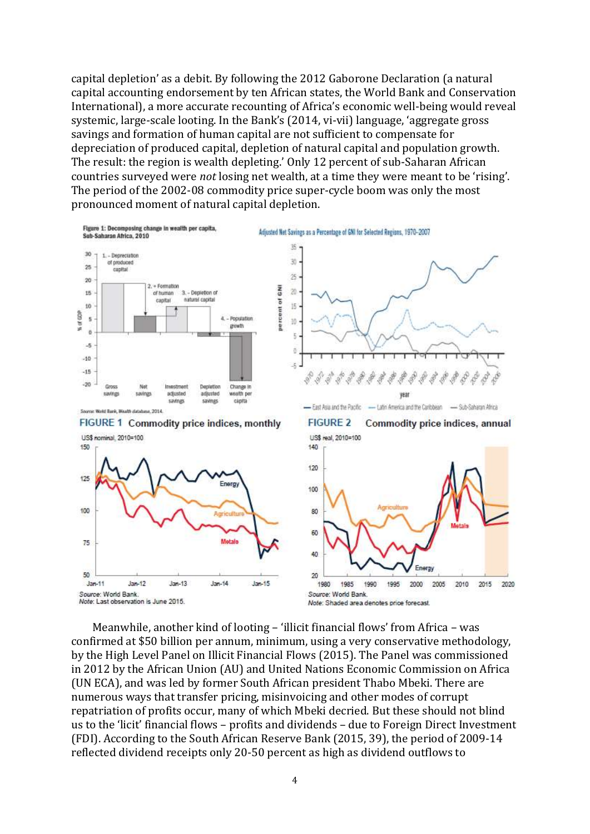capital depletion' as a debit. By following the 2012 Gaborone Declaration (a natural capital accounting endorsement by ten African states, the World Bank and Conservation International), a more accurate recounting of Africa's economic well-being would reveal systemic, large-scale looting. In the Bank's (2014, vi-vii) language, 'aggregate gross savings and formation of human capital are not sufficient to compensate for depreciation of produced capital, depletion of natural capital and population growth. The result: the region is wealth depleting.' Only 12 percent of sub-Saharan African countries surveyed were *not* losing net wealth, at a time they were meant to be 'rising'. The period of the 2002-08 commodity price super-cycle boom was only the most pronounced moment of natural capital depletion.



Meanwhile, another kind of looting – 'illicit financial flows' from Africa – was confirmed at \$50 billion per annum, minimum, using a very conservative methodology, by the High Level Panel on Illicit Financial Flows (2015). The Panel was commissioned in 2012 by the African Union (AU) and United Nations Economic Commission on Africa (UN ECA), and was led by former South African president Thabo Mbeki. There are numerous ways that transfer pricing, misinvoicing and other modes of corrupt repatriation of profits occur, many of which Mbeki decried. But these should not blind us to the 'licit' financial flows – profits and dividends – due to Foreign Direct Investment (FDI). According to the South African Reserve Bank (2015, 39), the period of 2009-14 reflected dividend receipts only 20-50 percent as high as dividend outflows to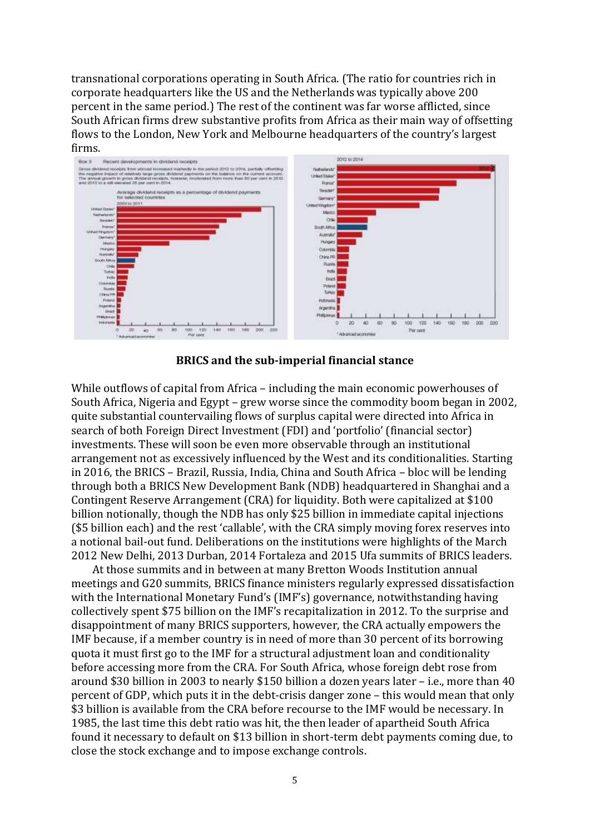transnational corporations operating in South Africa. (The ratio for countries rich in corporate headquarters like the US and the Netherlands was typically above 200 percent in the same period.) The rest of the continent was far worse afflicted, since South African firms drew substantive profits from Africa as their main way of offsetting flows to the London, New York and Melbourne headquarters of the country's largest firms.



**BRICS and the sub-imperial financial stance**

While outflows of capital from Africa – including the main economic powerhouses of South Africa, Nigeria and Egypt – grew worse since the commodity boom began in 2002, quite substantial countervailing flows of surplus capital were directed into Africa in search of both Foreign Direct Investment (FDI) and 'portfolio' (financial sector) investments. These will soon be even more observable through an institutional arrangement not as excessively influenced by the West and its conditionalities. Starting in 2016, the BRICS – Brazil, Russia, India, China and South Africa – bloc will be lending through both a BRICS New Development Bank (NDB) headquartered in Shanghai and a Contingent Reserve Arrangement (CRA) for liquidity. Both were capitalized at \$100 billion notionally, though the NDB has only \$25 billion in immediate capital injections (\$5 billion each) and the rest 'callable', with the CRA simply moving forex reserves into a notional bail-out fund. Deliberations on the institutions were highlights of the March 2012 New Delhi, 2013 Durban, 2014 Fortaleza and 2015 Ufa summits of BRICS leaders.

At those summits and in between at many Bretton Woods Institution annual meetings and G20 summits, BRICS finance ministers regularly expressed dissatisfaction with the International Monetary Fund's (IMF's) governance, notwithstanding having collectively spent \$75 billion on the IMF's recapitalization in 2012. To the surprise and disappointment of many BRICS supporters, however, the CRA actually empowers the IMF because, if a member country is in need of more than 30 percent of its borrowing quota it must first go to the IMF for a structural adjustment loan and conditionality before accessing more from the CRA. For South Africa, whose foreign debt rose from around \$30 billion in 2003 to nearly \$150 billion a dozen years later – i.e., more than 40 percent of GDP, which puts it in the debt-crisis danger zone – this would mean that only \$3 billion is available from the CRA before recourse to the IMF would be necessary. In 1985, the last time this debt ratio was hit, the then leader of apartheid South Africa found it necessary to default on \$13 billion in short-term debt payments coming due, to close the stock exchange and to impose exchange controls.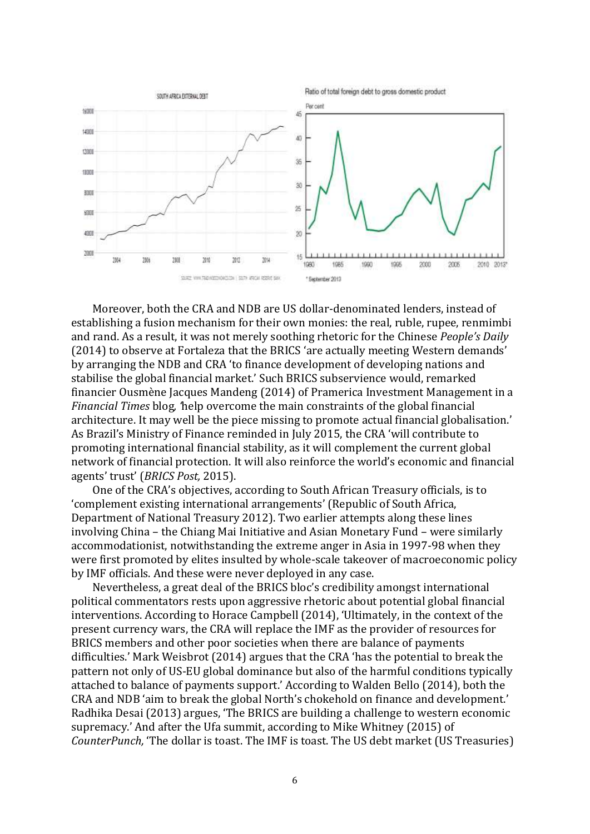

Moreover, both the CRA and NDB are US dollar-denominated lenders, instead of establishing a fusion mechanism for their own monies: the real, ruble, rupee, renmimbi and rand. As a result, it was not merely soothing rhetoric for the Chinese *People's Daily* (2014) to observe at Fortaleza that the BRICS 'are actually meeting Western demands' by arranging the NDB and CRA 'to finance development of developing nations and stabilise the global financial market.' Such BRICS subservience would, remarked financier Ousmène Jacques Mandeng (2014) of Pramerica Investment Management in a *Financial Times* blog*, '*help overcome the main constraints of the global financial architecture. It may well be the piece missing to promote actual financial globalisation.' As Brazil's Ministry of Finance reminded in July 2015, the CRA 'will contribute to promoting international financial stability, as it will complement the current global network of financial protection. It will also reinforce the world's economic and financial agents' trust' (*BRICS Post,* 2015).

One of the CRA's objectives, according to South African Treasury officials, is to 'complement existing international arrangements' (Republic of South Africa, Department of National Treasury 2012). Two earlier attempts along these lines involving China – the Chiang Mai Initiative and Asian Monetary Fund – were similarly accommodationist, notwithstanding the extreme anger in Asia in 1997-98 when they were first promoted by elites insulted by whole-scale takeover of macroeconomic policy by IMF officials. And these were never deployed in any case.

Nevertheless, a great deal of the BRICS bloc's credibility amongst international political commentators rests upon aggressive rhetoric about potential global financial interventions. According to Horace Campbell (2014), 'Ultimately, in the context of the present currency wars, the CRA will replace the IMF as the provider of resources for BRICS members and other poor societies when there are balance of payments difficulties.' Mark Weisbrot (2014) argues that the CRA 'has the potential to break the pattern not only of US-EU global dominance but also of the harmful conditions typically attached to balance of payments support.' According to Walden Bello (2014), both the CRA and NDB 'aim to break the global North's chokehold on finance and development.' Radhika Desai (2013) argues, 'The BRICS are building a challenge to western economic supremacy.' And after the Ufa summit, according to Mike Whitney (2015) of *CounterPunch,* 'The dollar is toast. The IMF is toast. The US debt market (US Treasuries)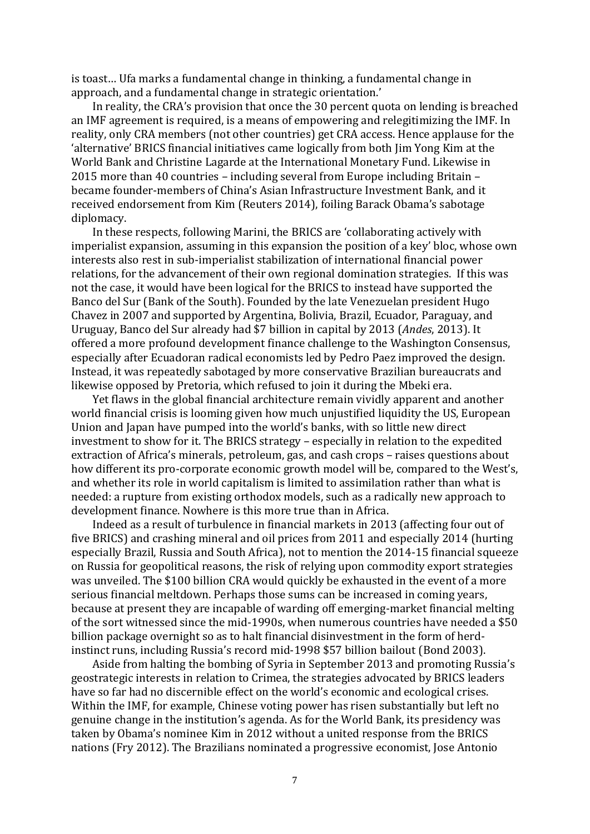is toast… Ufa marks a fundamental change in thinking, a fundamental change in approach, and a fundamental change in strategic orientation.'

In reality, the CRA's provision that once the 30 percent quota on lending is breached an IMF agreement is required, is a means of empowering and relegitimizing the IMF. In reality, only CRA members (not other countries) get CRA access. Hence applause for the 'alternative' BRICS financial initiatives came logically from both Jim Yong Kim at the World Bank and Christine Lagarde at the International Monetary Fund. Likewise in 2015 more than 40 countries – including several from Europe including Britain – became founder-members of China's Asian Infrastructure Investment Bank, and it received endorsement from Kim (Reuters 2014), foiling Barack Obama's sabotage diplomacy.

In these respects, following Marini, the BRICS are 'collaborating actively with imperialist expansion, assuming in this expansion the position of a key' bloc, whose own interests also rest in sub-imperialist stabilization of international financial power relations, for the advancement of their own regional domination strategies. If this was not the case, it would have been logical for the BRICS to instead have supported the Banco del Sur (Bank of the South). Founded by the late Venezuelan president Hugo Chavez in 2007 and supported by Argentina, Bolivia, Brazil, Ecuador, Paraguay, and Uruguay, Banco del Sur already had \$7 billion in capital by 2013 (*Andes*, 2013). It offered a more profound development finance challenge to the Washington Consensus, especially after Ecuadoran radical economists led by Pedro Paez improved the design. Instead, it was repeatedly sabotaged by more conservative Brazilian bureaucrats and likewise opposed by Pretoria, which refused to join it during the Mbeki era.

Yet flaws in the global financial architecture remain vividly apparent and another world financial crisis is looming given how much unjustified liquidity the US, European Union and Japan have pumped into the world's banks, with so little new direct investment to show for it. The BRICS strategy – especially in relation to the expedited extraction of Africa's minerals, petroleum, gas, and cash crops – raises questions about how different its pro-corporate economic growth model will be, compared to the West's, and whether its role in world capitalism is limited to assimilation rather than what is needed: a rupture from existing orthodox models, such as a radically new approach to development finance. Nowhere is this more true than in Africa.

Indeed as a result of turbulence in financial markets in 2013 (affecting four out of five BRICS) and crashing mineral and oil prices from 2011 and especially 2014 (hurting especially Brazil, Russia and South Africa), not to mention the 2014-15 financial squeeze on Russia for geopolitical reasons, the risk of relying upon commodity export strategies was unveiled. The \$100 billion CRA would quickly be exhausted in the event of a more serious financial meltdown. Perhaps those sums can be increased in coming years, because at present they are incapable of warding off emerging-market financial melting of the sort witnessed since the mid-1990s, when numerous countries have needed a \$50 billion package overnight so as to halt financial disinvestment in the form of herdinstinct runs, including Russia's record mid-1998 \$57 billion bailout (Bond 2003).

Aside from halting the bombing of Syria in September 2013 and promoting Russia's geostrategic interests in relation to Crimea, the strategies advocated by BRICS leaders have so far had no discernible effect on the world's economic and ecological crises. Within the IMF, for example, Chinese voting power has risen substantially but left no genuine change in the institution's agenda. As for the World Bank, its presidency was taken by Obama's nominee Kim in 2012 without a united response from the BRICS nations (Fry 2012). The Brazilians nominated a progressive economist, Jose Antonio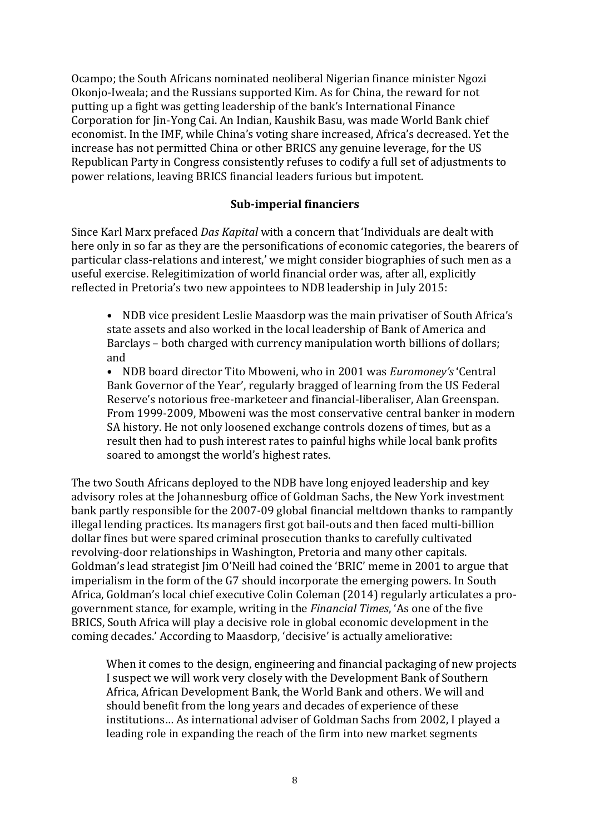Ocampo; the South Africans nominated neoliberal Nigerian finance minister Ngozi Okonjo-Iweala; and the Russians supported Kim. As for China, the reward for not putting up a fight was getting leadership of the bank's International Finance Corporation for Jin-Yong Cai. An Indian, Kaushik Basu, was made World Bank chief economist. In the IMF, while China's voting share increased, Africa's decreased. Yet the increase has not permitted China or other BRICS any genuine leverage, for the US Republican Party in Congress consistently refuses to codify a full set of adjustments to power relations, leaving BRICS financial leaders furious but impotent.

### **Sub-imperial financiers**

Since Karl Marx prefaced *Das Kapital* with a concern that 'Individuals are dealt with here only in so far as they are the personifications of economic categories, the bearers of particular class-relations and interest,' we might consider biographies of such men as a useful exercise. Relegitimization of world financial order was, after all, explicitly reflected in Pretoria's two new appointees to NDB leadership in July 2015:

• NDB vice president Leslie Maasdorp was the main privatiser of South Africa's state assets and also worked in the local leadership of Bank of America and Barclays – both charged with currency manipulation worth billions of dollars; and

• NDB board director Tito Mboweni, who in 2001 was *Euromoney's* 'Central Bank Governor of the Year', regularly bragged of learning from the US Federal Reserve's notorious free-marketeer and financial-liberaliser, Alan Greenspan. From 1999-2009, Mboweni was the most conservative central banker in modern SA history. He not only loosened exchange controls dozens of times, but as a result then had to push interest rates to painful highs while local bank profits soared to amongst the world's highest rates.

The two South Africans deployed to the NDB have long enjoyed leadership and key advisory roles at the Johannesburg office of Goldman Sachs, the New York investment bank partly responsible for the 2007-09 global financial meltdown thanks to rampantly illegal lending practices. Its managers first got bail-outs and then faced multi-billion dollar fines but were spared criminal prosecution thanks to carefully cultivated revolving-door relationships in Washington, Pretoria and many other capitals. Goldman's lead strategist Jim O'Neill had coined the 'BRIC' meme in 2001 to argue that imperialism in the form of the G7 should incorporate the emerging powers. In South Africa, Goldman's local chief executive Colin Coleman (2014) regularly articulates a progovernment stance, for example, writing in the *Financial Times*, 'As one of the five BRICS, South Africa will play a decisive role in global economic development in the coming decades.' According to Maasdorp, 'decisive' is actually ameliorative:

When it comes to the design, engineering and financial packaging of new projects I suspect we will work very closely with the Development Bank of Southern Africa, African Development Bank, the World Bank and others. We will and should benefit from the long years and decades of experience of these institutions… As international adviser of Goldman Sachs from 2002, I played a leading role in expanding the reach of the firm into new market segments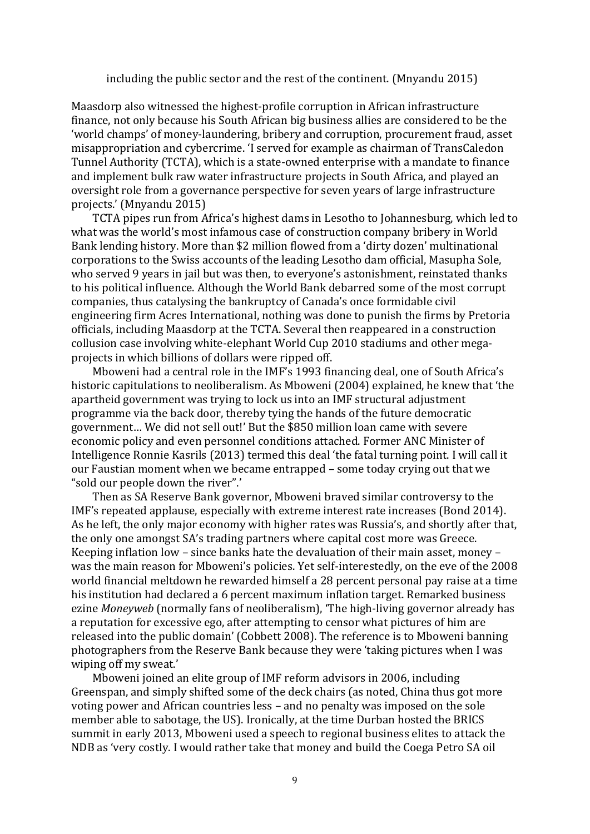including the public sector and the rest of the continent. (Mnyandu 2015)

Maasdorp also witnessed the highest-profile corruption in African infrastructure finance, not only because his South African big business allies are considered to be the 'world champs' of money-laundering, bribery and corruption, procurement fraud, asset misappropriation and cybercrime. 'I served for example as chairman of TransCaledon Tunnel Authority (TCTA), which is a state-owned enterprise with a mandate to finance and implement bulk raw water infrastructure projects in South Africa, and played an oversight role from a governance perspective for seven years of large infrastructure projects.' (Mnyandu 2015)

TCTA pipes run from Africa's highest dams in Lesotho to Johannesburg, which led to what was the world's most infamous case of construction company bribery in World Bank lending history. More than \$2 million flowed from a 'dirty dozen' multinational corporations to the Swiss accounts of the leading Lesotho dam official, Masupha Sole, who served 9 years in jail but was then, to everyone's astonishment, reinstated thanks to his political influence. Although the World Bank debarred some of the most corrupt companies, thus catalysing the bankruptcy of Canada's once formidable civil engineering firm Acres International, nothing was done to punish the firms by Pretoria officials, including Maasdorp at the TCTA. Several then reappeared in a construction collusion case involving white-elephant World Cup 2010 stadiums and other megaprojects in which billions of dollars were ripped off.

Mboweni had a central role in the IMF's 1993 financing deal, one of South Africa's historic capitulations to neoliberalism. As Mboweni (2004) explained, he knew that 'the apartheid government was trying to lock us into an IMF structural adjustment programme via the back door, thereby tying the hands of the future democratic government… We did not sell out!' But the \$850 million loan came with severe economic policy and even personnel conditions attached. Former ANC Minister of Intelligence Ronnie Kasrils (2013) termed this deal 'the fatal turning point. I will call it our Faustian moment when we became entrapped – some today crying out that we "sold our people down the river".'

Then as SA Reserve Bank governor, Mboweni braved similar controversy to the IMF's repeated applause, especially with extreme interest rate increases (Bond 2014). As he left, the only major economy with higher rates was Russia's, and shortly after that, the only one amongst SA's trading partners where capital cost more was Greece. Keeping inflation low – since banks hate the devaluation of their main asset, money – was the main reason for Mboweni's policies. Yet self-interestedly, on the eve of the 2008 world financial meltdown he rewarded himself a 28 percent personal pay raise at a time his institution had declared a 6 percent maximum inflation target. Remarked business ezine *Moneyweb* (normally fans of neoliberalism), 'The high-living governor already has a reputation for excessive ego, after attempting to censor what pictures of him are released into the public domain' (Cobbett 2008). The reference is to Mboweni banning photographers from the Reserve Bank because they were 'taking pictures when I was wiping off my sweat.'

Mboweni joined an elite group of IMF reform advisors in 2006, including Greenspan, and simply shifted some of the deck chairs (as noted, China thus got more voting power and African countries less – and no penalty was imposed on the sole member able to sabotage, the US). Ironically, at the time Durban hosted the BRICS summit in early 2013, Mboweni used a speech to regional business elites to attack the NDB as 'very costly. I would rather take that money and build the Coega Petro SA oil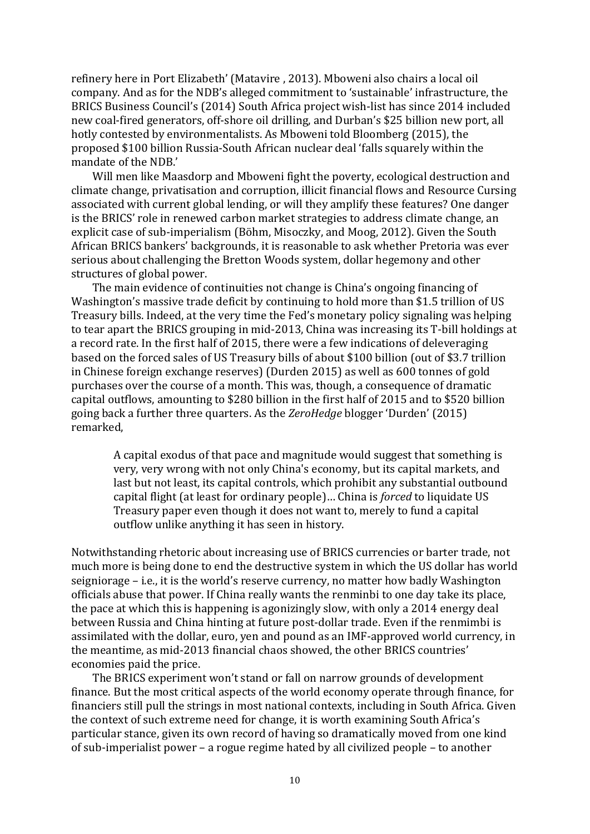refinery here in Port Elizabeth' (Matavire , 2013). Mboweni also chairs a local oil company. And as for the NDB's alleged commitment to 'sustainable' infrastructure, the BRICS Business Council's (2014) South Africa project wish-list has since 2014 included new coal-fired generators, off-shore oil drilling, and Durban's \$25 billion new port, all hotly contested by environmentalists. As Mboweni told Bloomberg (2015), the proposed \$100 billion Russia-South African nuclear deal 'falls squarely within the mandate of the NDB.'

Will men like Maasdorp and Mboweni fight the poverty, ecological destruction and climate change, privatisation and corruption, illicit financial flows and Resource Cursing associated with current global lending, or will they amplify these features? One danger is the BRICS' role in renewed carbon market strategies to address climate change, an explicit case of sub-imperialism (Böhm, Misoczky, and Moog, 2012). Given the South African BRICS bankers' backgrounds, it is reasonable to ask whether Pretoria was ever serious about challenging the Bretton Woods system, dollar hegemony and other structures of global power.

The main evidence of continuities not change is China's ongoing financing of Washington's massive trade deficit by continuing to hold more than \$1.5 trillion of US Treasury bills. Indeed, at the very time the Fed's monetary policy signaling was helping to tear apart the BRICS grouping in mid-2013, China was increasing its T-bill holdings at a record rate. In the first half of 2015, there were a few indications of deleveraging based on the forced sales of US Treasury bills of about \$100 billion (out of \$3.7 trillion in Chinese foreign exchange reserves) (Durden 2015) as well as 600 tonnes of gold purchases over the course of a month. This was, though, a consequence of dramatic capital outflows, amounting to \$280 billion in the first half of 2015 and to \$520 billion going back a further three quarters. As the *ZeroHedge* blogger 'Durden' (2015) remarked,

A capital exodus of that pace and magnitude would suggest that something is very, very wrong with not only China's economy, but its capital markets, and last but not least, its capital controls, which prohibit any substantial outbound capital flight (at least for ordinary people)… China is *forced* to liquidate US Treasury paper even though it does not want to, merely to fund a capital outflow unlike anything it has seen in history.

Notwithstanding rhetoric about increasing use of BRICS currencies or barter trade, not much more is being done to end the destructive system in which the US dollar has world seigniorage – i.e., it is the world's reserve currency, no matter how badly Washington officials abuse that power. If China really wants the renminbi to one day take its place, the pace at which this is happening is agonizingly slow, with only a 2014 energy deal between Russia and China hinting at future post-dollar trade. Even if the renmimbi is assimilated with the dollar, euro, yen and pound as an IMF-approved world currency, in the meantime, as mid-2013 financial chaos showed, the other BRICS countries' economies paid the price.

The BRICS experiment won't stand or fall on narrow grounds of development finance. But the most critical aspects of the world economy operate through finance, for financiers still pull the strings in most national contexts, including in South Africa. Given the context of such extreme need for change, it is worth examining South Africa's particular stance, given its own record of having so dramatically moved from one kind of sub-imperialist power – a rogue regime hated by all civilized people – to another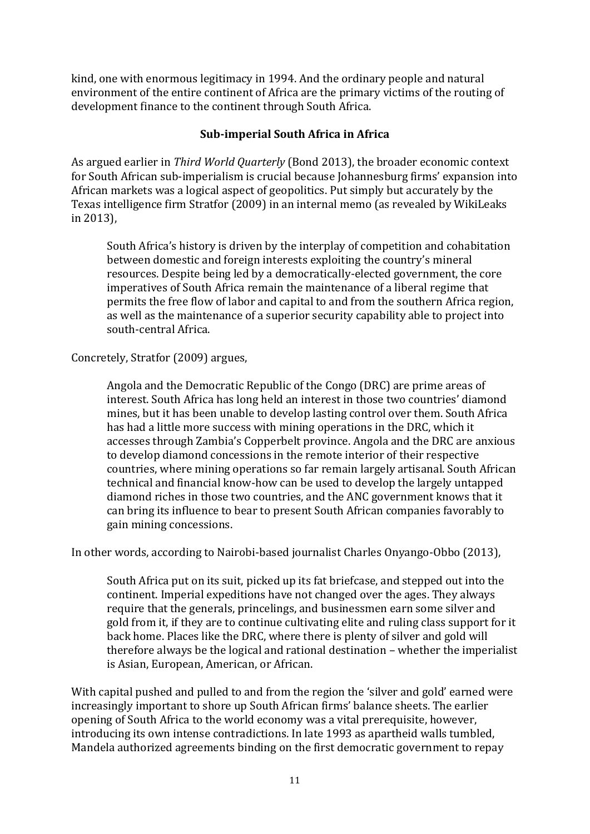kind, one with enormous legitimacy in 1994. And the ordinary people and natural environment of the entire continent of Africa are the primary victims of the routing of development finance to the continent through South Africa.

## **Sub-imperial South Africa in Africa**

As argued earlier in *Third World Quarterly* (Bond 2013), the broader economic context for South African sub-imperialism is crucial because Johannesburg firms' expansion into African markets was a logical aspect of geopolitics. Put simply but accurately by the Texas intelligence firm Stratfor (2009) in an internal memo (as revealed by WikiLeaks in 2013),

South Africa's history is driven by the interplay of competition and cohabitation between domestic and foreign interests exploiting the country's mineral resources. Despite being led by a democratically-elected government, the core imperatives of South Africa remain the maintenance of a liberal regime that permits the free flow of labor and capital to and from the southern Africa region, as well as the maintenance of a superior security capability able to project into south-central Africa.

Concretely, Stratfor (2009) argues,

Angola and the Democratic Republic of the Congo (DRC) are prime areas of interest. South Africa has long held an interest in those two countries' diamond mines, but it has been unable to develop lasting control over them. South Africa has had a little more success with mining operations in the DRC, which it accesses through Zambia's Copperbelt province. Angola and the DRC are anxious to develop diamond concessions in the remote interior of their respective countries, where mining operations so far remain largely artisanal. South African technical and financial know-how can be used to develop the largely untapped diamond riches in those two countries, and the ANC government knows that it can bring its influence to bear to present South African companies favorably to gain mining concessions.

In other words, according to Nairobi-based journalist Charles Onyango-Obbo (2013),

South Africa put on its suit, picked up its fat briefcase, and stepped out into the continent. Imperial expeditions have not changed over the ages. They always require that the generals, princelings, and businessmen earn some silver and gold from it, if they are to continue cultivating elite and ruling class support for it back home. Places like the DRC, where there is plenty of silver and gold will therefore always be the logical and rational destination – whether the imperialist is Asian, European, American, or African.

With capital pushed and pulled to and from the region the 'silver and gold' earned were increasingly important to shore up South African firms' balance sheets. The earlier opening of South Africa to the world economy was a vital prerequisite, however, introducing its own intense contradictions. In late 1993 as apartheid walls tumbled, Mandela authorized agreements binding on the first democratic government to repay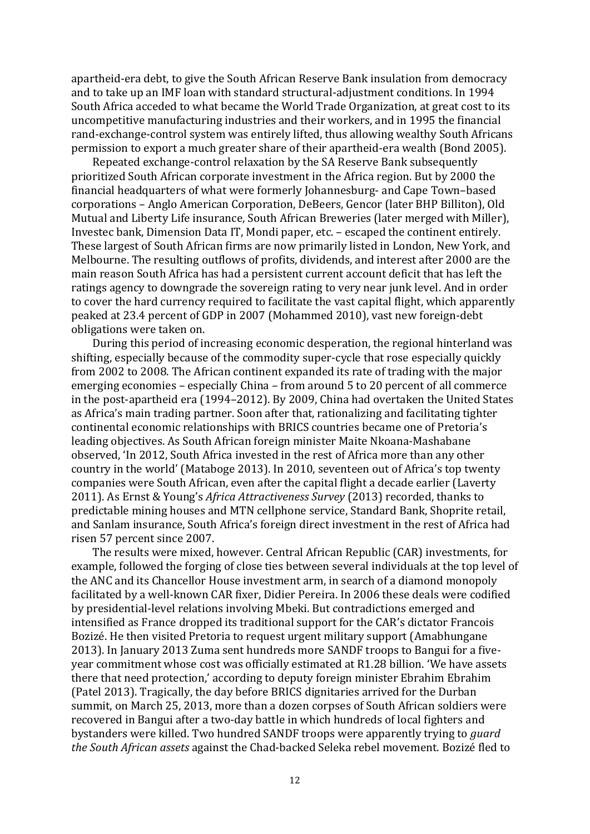apartheid-era debt, to give the South African Reserve Bank insulation from democracy and to take up an IMF loan with standard structural-adjustment conditions. In 1994 South Africa acceded to what became the World Trade Organization, at great cost to its uncompetitive manufacturing industries and their workers, and in 1995 the financial rand-exchange-control system was entirely lifted, thus allowing wealthy South Africans permission to export a much greater share of their apartheid-era wealth (Bond 2005).

Repeated exchange-control relaxation by the SA Reserve Bank subsequently prioritized South African corporate investment in the Africa region. But by 2000 the financial headquarters of what were formerly Johannesburg- and Cape Town–based corporations – Anglo American Corporation, DeBeers, Gencor (later BHP Billiton), Old Mutual and Liberty Life insurance, South African Breweries (later merged with Miller), Investec bank, Dimension Data IT, Mondi paper, etc. – escaped the continent entirely. These largest of South African firms are now primarily listed in London, New York, and Melbourne. The resulting outflows of profits, dividends, and interest after 2000 are the main reason South Africa has had a persistent current account deficit that has left the ratings agency to downgrade the sovereign rating to very near junk level. And in order to cover the hard currency required to facilitate the vast capital flight, which apparently peaked at 23.4 percent of GDP in 2007 (Mohammed 2010), vast new foreign-debt obligations were taken on.

During this period of increasing economic desperation, the regional hinterland was shifting, especially because of the commodity super-cycle that rose especially quickly from 2002 to 2008. The African continent expanded its rate of trading with the major emerging economies – especially China – from around 5 to 20 percent of all commerce in the post-apartheid era (1994–2012). By 2009, China had overtaken the United States as Africa's main trading partner. Soon after that, rationalizing and facilitating tighter continental economic relationships with BRICS countries became one of Pretoria's leading objectives. As South African foreign minister Maite Nkoana-Mashabane observed, 'In 2012, South Africa invested in the rest of Africa more than any other country in the world' (Mataboge 2013). In 2010, seventeen out of Africa's top twenty companies were South African, even after the capital flight a decade earlier (Laverty 2011). As Ernst & Young's *Africa Attractiveness Survey* (2013) recorded, thanks to predictable mining houses and MTN cellphone service, Standard Bank, Shoprite retail, and Sanlam insurance, South Africa's foreign direct investment in the rest of Africa had risen 57 percent since 2007.

The results were mixed, however. Central African Republic (CAR) investments, for example, followed the forging of close ties between several individuals at the top level of the ANC and its Chancellor House investment arm, in search of a diamond monopoly facilitated by a well-known CAR fixer, Didier Pereira. In 2006 these deals were codified by presidential-level relations involving Mbeki. But contradictions emerged and intensified as France dropped its traditional support for the CAR's dictator Francois Bozizé. He then visited Pretoria to request urgent military support (Amabhungane 2013). In January 2013 Zuma sent hundreds more SANDF troops to Bangui for a fiveyear commitment whose cost was officially estimated at R1.28 billion. 'We have assets there that need protection,' according to deputy foreign minister Ebrahim Ebrahim (Patel 2013). Tragically, the day before BRICS dignitaries arrived for the Durban summit, on March 25, 2013, more than a dozen corpses of South African soldiers were recovered in Bangui after a two-day battle in which hundreds of local fighters and bystanders were killed. Two hundred SANDF troops were apparently trying to *guard the South African assets* against the Chad-backed Seleka rebel movement. Bozizé fled to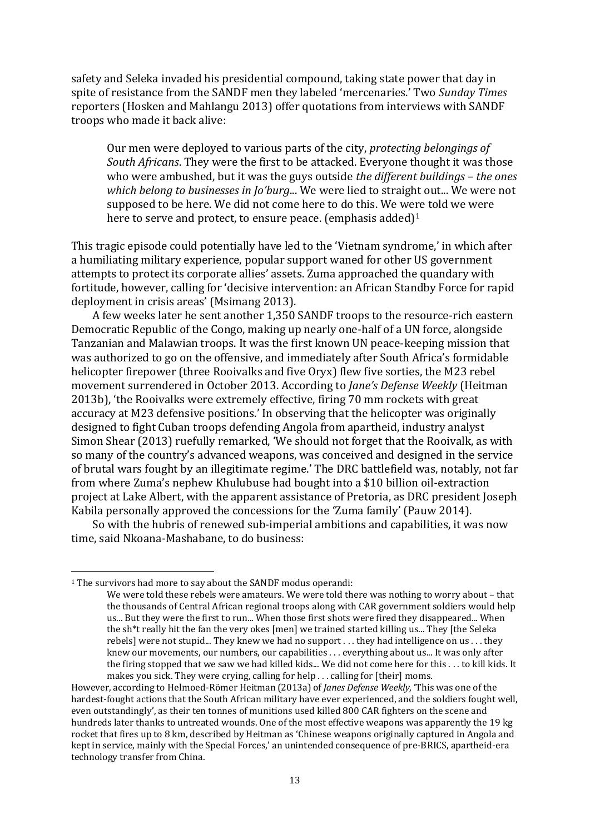safety and Seleka invaded his presidential compound, taking state power that day in spite of resistance from the SANDF men they labeled 'mercenaries.' Two *Sunday Times*  reporters (Hosken and Mahlangu 2013) offer quotations from interviews with SANDF troops who made it back alive:

Our men were deployed to various parts of the city, *protecting belongings of South Africans*. They were the first to be attacked. Everyone thought it was those who were ambushed, but it was the guys outside *the different buildings – the ones which belong to businesses in Jo'burg*... We were lied to straight out... We were not supposed to be here. We did not come here to do this. We were told we were here to serve and protect, to ensure peace. (emphasis added)<sup>1</sup>

This tragic episode could potentially have led to the 'Vietnam syndrome,' in which after a humiliating military experience, popular support waned for other US government attempts to protect its corporate allies' assets. Zuma approached the quandary with fortitude, however, calling for 'decisive intervention: an African Standby Force for rapid deployment in crisis areas' (Msimang 2013).

A few weeks later he sent another 1,350 SANDF troops to the resource-rich eastern Democratic Republic of the Congo, making up nearly one-half of a UN force, alongside Tanzanian and Malawian troops. It was the first known UN peace-keeping mission that was authorized to go on the offensive, and immediately after South Africa's formidable helicopter firepower (three Rooivalks and five Oryx) flew five sorties, the M23 rebel movement surrendered in October 2013. According to *Jane's Defense Weekly* (Heitman 2013b), 'the Rooivalks were extremely effective, firing 70 mm rockets with great accuracy at M23 defensive positions.' In observing that the helicopter was originally designed to fight Cuban troops defending Angola from apartheid, industry analyst Simon Shear (2013) ruefully remarked, 'We should not forget that the Rooivalk, as with so many of the country's advanced weapons, was conceived and designed in the service of brutal wars fought by an illegitimate regime.' The DRC battlefield was, notably, not far from where Zuma's nephew Khulubuse had bought into a \$10 billion oil-extraction project at Lake Albert, with the apparent assistance of Pretoria, as DRC president Joseph Kabila personally approved the concessions for the 'Zuma family' (Pauw 2014).

So with the hubris of renewed sub-imperial ambitions and capabilities, it was now time, said Nkoana-Mashabane, to do business:

**.** 

<sup>&</sup>lt;sup>1</sup> The survivors had more to say about the SANDF modus operandi:

We were told these rebels were amateurs. We were told there was nothing to worry about – that the thousands of Central African regional troops along with CAR government soldiers would help us... But they were the first to run... When those first shots were fired they disappeared... When the sh\*t really hit the fan the very okes [men] we trained started killing us... They [the Seleka rebels] were not stupid... They knew we had no support . . . they had intelligence on us . . . they knew our movements, our numbers, our capabilities . . . everything about us... It was only after the firing stopped that we saw we had killed kids... We did not come here for this . . . to kill kids. It makes you sick. They were crying, calling for help . . . calling for [their] moms.

However, according to Helmoed-Römer Heitman (2013a) of *Janes Defense Weekly*, 'This was one of the hardest-fought actions that the South African military have ever experienced, and the soldiers fought well, even outstandingly', as their ten tonnes of munitions used killed 800 CAR fighters on the scene and hundreds later thanks to untreated wounds. One of the most effective weapons was apparently the 19 kg rocket that fires up to 8 km, described by Heitman as 'Chinese weapons originally captured in Angola and kept in service, mainly with the Special Forces,' an unintended consequence of pre-BRICS, apartheid-era technology transfer from China.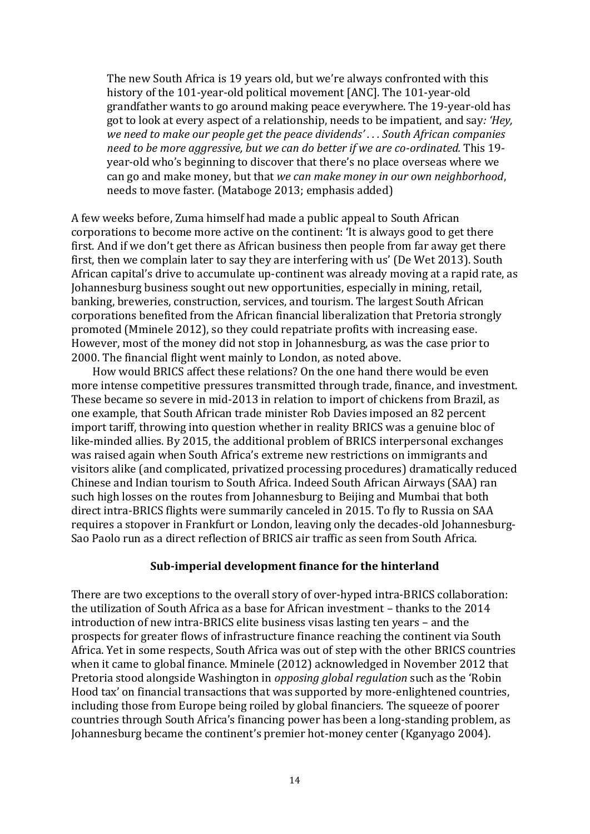The new South Africa is 19 years old, but we're always confronted with this history of the 101-year-old political movement [ANC]. The 101-year-old grandfather wants to go around making peace everywhere. The 19-year-old has got to look at every aspect of a relationship, needs to be impatient, and say*: 'Hey, we need to make our people get the peace dividends' . . . South African companies need to be more aggressive, but we can do better if we are co-ordinated.* This 19 year-old who's beginning to discover that there's no place overseas where we can go and make money, but that *we can make money in our own neighborhood*, needs to move faster. (Mataboge 2013; emphasis added)

A few weeks before, Zuma himself had made a public appeal to South African corporations to become more active on the continent: 'It is always good to get there first. And if we don't get there as African business then people from far away get there first, then we complain later to say they are interfering with us' (De Wet 2013). South African capital's drive to accumulate up-continent was already moving at a rapid rate, as Johannesburg business sought out new opportunities, especially in mining, retail, banking, breweries, construction, services, and tourism. The largest South African corporations benefited from the African financial liberalization that Pretoria strongly promoted (Mminele 2012), so they could repatriate profits with increasing ease. However, most of the money did not stop in Johannesburg, as was the case prior to 2000. The financial flight went mainly to London, as noted above.

How would BRICS affect these relations? On the one hand there would be even more intense competitive pressures transmitted through trade, finance, and investment. These became so severe in mid-2013 in relation to import of chickens from Brazil, as one example, that South African trade minister Rob Davies imposed an 82 percent import tariff, throwing into question whether in reality BRICS was a genuine bloc of like-minded allies. By 2015, the additional problem of BRICS interpersonal exchanges was raised again when South Africa's extreme new restrictions on immigrants and visitors alike (and complicated, privatized processing procedures) dramatically reduced Chinese and Indian tourism to South Africa. Indeed South African Airways (SAA) ran such high losses on the routes from Johannesburg to Beijing and Mumbai that both direct intra-BRICS flights were summarily canceled in 2015. To fly to Russia on SAA requires a stopover in Frankfurt or London, leaving only the decades-old Johannesburg-Sao Paolo run as a direct reflection of BRICS air traffic as seen from South Africa.

#### **Sub-imperial development finance for the hinterland**

There are two exceptions to the overall story of over-hyped intra-BRICS collaboration: the utilization of South Africa as a base for African investment – thanks to the 2014 introduction of new intra-BRICS elite business visas lasting ten years – and the prospects for greater flows of infrastructure finance reaching the continent via South Africa. Yet in some respects, South Africa was out of step with the other BRICS countries when it came to global finance. Mminele (2012) acknowledged in November 2012 that Pretoria stood alongside Washington in *opposing global regulation* such as the 'Robin Hood tax' on financial transactions that was supported by more-enlightened countries, including those from Europe being roiled by global financiers. The squeeze of poorer countries through South Africa's financing power has been a long-standing problem, as Johannesburg became the continent's premier hot-money center (Kganyago 2004).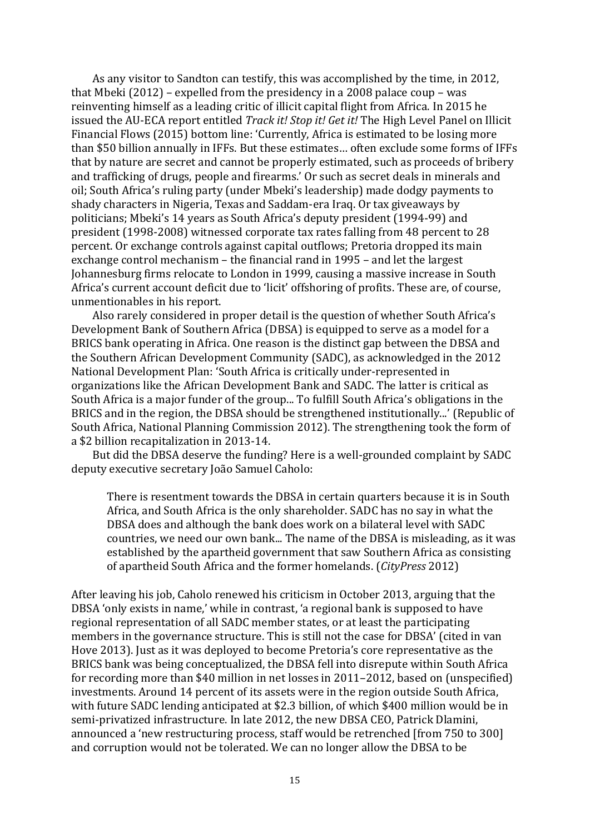As any visitor to Sandton can testify, this was accomplished by the time, in 2012, that Mbeki (2012) – expelled from the presidency in a 2008 palace coup – was reinventing himself as a leading critic of illicit capital flight from Africa. In 2015 he issued the AU-ECA report entitled *Track it! Stop it! Get it!* The High Level Panel on Illicit Financial Flows (2015) bottom line: 'Currently, Africa is estimated to be losing more than \$50 billion annually in IFFs. But these estimates… often exclude some forms of IFFs that by nature are secret and cannot be properly estimated, such as proceeds of bribery and trafficking of drugs, people and firearms.' Or such as secret deals in minerals and oil; South Africa's ruling party (under Mbeki's leadership) made dodgy payments to shady characters in Nigeria, Texas and Saddam-era Iraq. Or tax giveaways by politicians; Mbeki's 14 years as South Africa's deputy president (1994-99) and president (1998-2008) witnessed corporate tax rates falling from 48 percent to 28 percent. Or exchange controls against capital outflows; Pretoria dropped its main exchange control mechanism – the financial rand in 1995 – and let the largest Johannesburg firms relocate to London in 1999, causing a massive increase in South Africa's current account deficit due to 'licit' offshoring of profits. These are, of course, unmentionables in his report.

Also rarely considered in proper detail is the question of whether South Africa's Development Bank of Southern Africa (DBSA) is equipped to serve as a model for a BRICS bank operating in Africa. One reason is the distinct gap between the DBSA and the Southern African Development Community (SADC), as acknowledged in the 2012 National Development Plan: 'South Africa is critically under-represented in organizations like the African Development Bank and SADC. The latter is critical as South Africa is a major funder of the group... To fulfill South Africa's obligations in the BRICS and in the region, the DBSA should be strengthened institutionally...' (Republic of South Africa, National Planning Commission 2012). The strengthening took the form of a \$2 billion recapitalization in 2013-14.

But did the DBSA deserve the funding? Here is a well-grounded complaint by SADC deputy executive secretary João Samuel Caholo:

There is resentment towards the DBSA in certain quarters because it is in South Africa, and South Africa is the only shareholder. SADC has no say in what the DBSA does and although the bank does work on a bilateral level with SADC countries, we need our own bank... The name of the DBSA is misleading, as it was established by the apartheid government that saw Southern Africa as consisting of apartheid South Africa and the former homelands. (*CityPress* 2012)

After leaving his job, Caholo renewed his criticism in October 2013, arguing that the DBSA 'only exists in name,' while in contrast, 'a regional bank is supposed to have regional representation of all SADC member states, or at least the participating members in the governance structure. This is still not the case for DBSA' (cited in van Hove 2013). Just as it was deployed to become Pretoria's core representative as the BRICS bank was being conceptualized, the DBSA fell into disrepute within South Africa for recording more than \$40 million in net losses in 2011–2012, based on (unspecified) investments. Around 14 percent of its assets were in the region outside South Africa, with future SADC lending anticipated at \$2.3 billion, of which \$400 million would be in semi-privatized infrastructure. In late 2012, the new DBSA CEO, Patrick Dlamini, announced a 'new restructuring process, staff would be retrenched [from 750 to 300] and corruption would not be tolerated. We can no longer allow the DBSA to be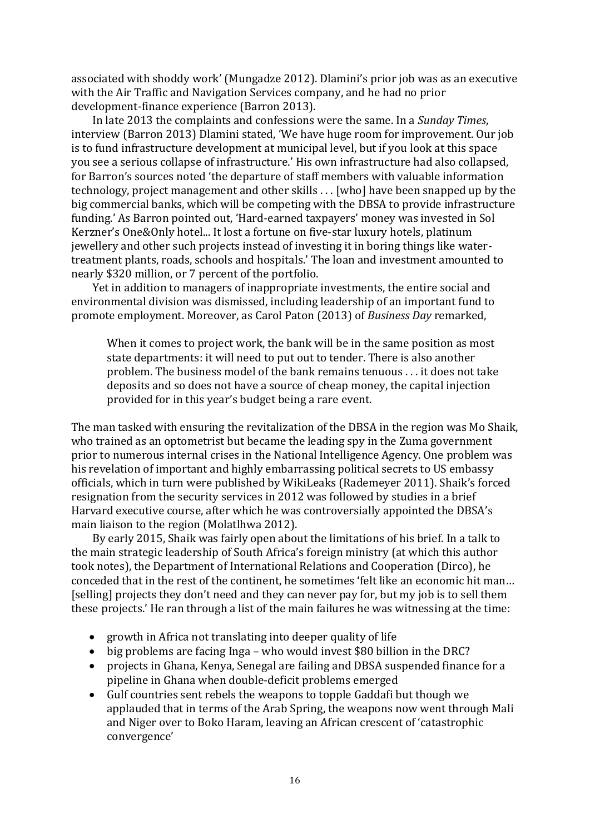associated with shoddy work' (Mungadze 2012). Dlamini's prior job was as an executive with the Air Traffic and Navigation Services company, and he had no prior development-finance experience (Barron 2013).

In late 2013 the complaints and confessions were the same. In a *Sunday Times*, interview (Barron 2013) Dlamini stated, 'We have huge room for improvement. Our job is to fund infrastructure development at municipal level, but if you look at this space you see a serious collapse of infrastructure.' His own infrastructure had also collapsed, for Barron's sources noted 'the departure of staff members with valuable information technology, project management and other skills . . . [who] have been snapped up by the big commercial banks, which will be competing with the DBSA to provide infrastructure funding.' As Barron pointed out, 'Hard-earned taxpayers' money was invested in Sol Kerzner's One&Only hotel... It lost a fortune on five-star luxury hotels, platinum jewellery and other such projects instead of investing it in boring things like watertreatment plants, roads, schools and hospitals.' The loan and investment amounted to nearly \$320 million, or 7 percent of the portfolio.

Yet in addition to managers of inappropriate investments, the entire social and environmental division was dismissed, including leadership of an important fund to promote employment. Moreover, as Carol Paton (2013) of *Business Day* remarked,

When it comes to project work, the bank will be in the same position as most state departments: it will need to put out to tender. There is also another problem. The business model of the bank remains tenuous . . . it does not take deposits and so does not have a source of cheap money, the capital injection provided for in this year's budget being a rare event.

The man tasked with ensuring the revitalization of the DBSA in the region was Mo Shaik, who trained as an optometrist but became the leading spy in the Zuma government prior to numerous internal crises in the National Intelligence Agency. One problem was his revelation of important and highly embarrassing political secrets to US embassy officials, which in turn were published by WikiLeaks (Rademeyer 2011). Shaik's forced resignation from the security services in 2012 was followed by studies in a brief Harvard executive course, after which he was controversially appointed the DBSA's main liaison to the region (Molatlhwa 2012).

By early 2015, Shaik was fairly open about the limitations of his brief. In a talk to the main strategic leadership of South Africa's foreign ministry (at which this author took notes), the Department of International Relations and Cooperation (Dirco), he conceded that in the rest of the continent, he sometimes 'felt like an economic hit man… [selling] projects they don't need and they can never pay for, but my job is to sell them these projects.' He ran through a list of the main failures he was witnessing at the time:

- growth in Africa not translating into deeper quality of life
- big problems are facing Inga who would invest \$80 billion in the DRC?
- projects in Ghana, Kenya, Senegal are failing and DBSA suspended finance for a pipeline in Ghana when double-deficit problems emerged
- Gulf countries sent rebels the weapons to topple Gaddafi but though we applauded that in terms of the Arab Spring, the weapons now went through Mali and Niger over to Boko Haram, leaving an African crescent of 'catastrophic convergence'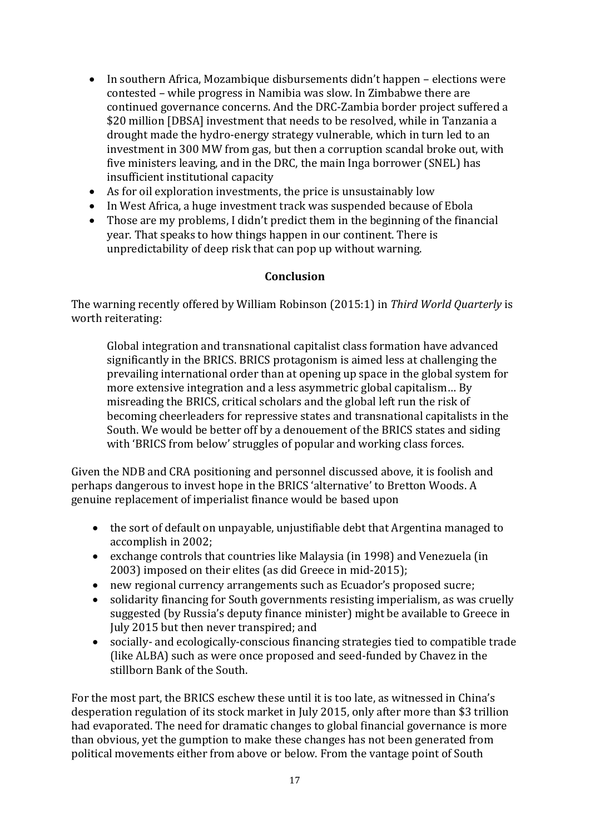- In southern Africa, Mozambique disbursements didn't happen elections were contested – while progress in Namibia was slow. In Zimbabwe there are continued governance concerns. And the DRC-Zambia border project suffered a \$20 million [DBSA] investment that needs to be resolved, while in Tanzania a drought made the hydro-energy strategy vulnerable, which in turn led to an investment in 300 MW from gas, but then a corruption scandal broke out, with five ministers leaving, and in the DRC, the main Inga borrower (SNEL) has insufficient institutional capacity
- As for oil exploration investments, the price is unsustainably low
- In West Africa, a huge investment track was suspended because of Ebola
- Those are my problems, I didn't predict them in the beginning of the financial year. That speaks to how things happen in our continent. There is unpredictability of deep risk that can pop up without warning.

#### **Conclusion**

The warning recently offered by William Robinson (2015:1) in *Third World Quarterly* is worth reiterating:

Global integration and transnational capitalist class formation have advanced significantly in the BRICS. BRICS protagonism is aimed less at challenging the prevailing international order than at opening up space in the global system for more extensive integration and a less asymmetric global capitalism… By misreading the BRICS, critical scholars and the global left run the risk of becoming cheerleaders for repressive states and transnational capitalists in the South. We would be better off by a denouement of the BRICS states and siding with 'BRICS from below' struggles of popular and working class forces.

Given the NDB and CRA positioning and personnel discussed above, it is foolish and perhaps dangerous to invest hope in the BRICS 'alternative' to Bretton Woods. A genuine replacement of imperialist finance would be based upon

- the sort of default on unpayable, unjustifiable debt that Argentina managed to accomplish in 2002;
- exchange controls that countries like Malaysia (in 1998) and Venezuela (in 2003) imposed on their elites (as did Greece in mid-2015);
- new regional currency arrangements such as Ecuador's proposed sucre;
- solidarity financing for South governments resisting imperialism, as was cruelly suggested (by Russia's deputy finance minister) might be available to Greece in July 2015 but then never transpired; and
- socially- and ecologically-conscious financing strategies tied to compatible trade (like ALBA) such as were once proposed and seed-funded by Chavez in the stillborn Bank of the South.

For the most part, the BRICS eschew these until it is too late, as witnessed in China's desperation regulation of its stock market in July 2015, only after more than \$3 trillion had evaporated. The need for dramatic changes to global financial governance is more than obvious, yet the gumption to make these changes has not been generated from political movements either from above or below. From the vantage point of South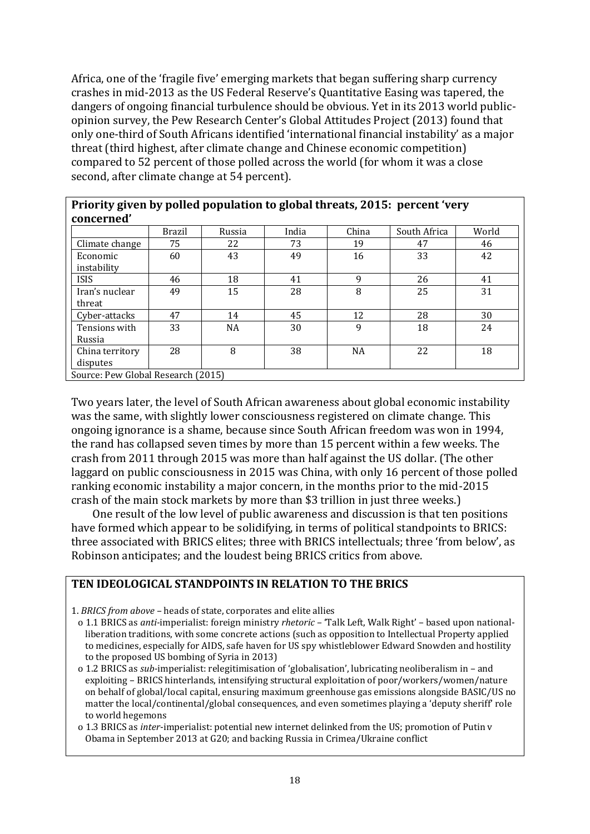Africa, one of the 'fragile five' emerging markets that began suffering sharp currency crashes in mid-2013 as the US Federal Reserve's Quantitative Easing was tapered, the dangers of ongoing financial turbulence should be obvious. Yet in its 2013 world publicopinion survey, the Pew Research Center's Global Attitudes Project (2013) found that only one-third of South Africans identified 'international financial instability' as a major threat (third highest, after climate change and Chinese economic competition) compared to 52 percent of those polled across the world (for whom it was a close second, after climate change at 54 percent).

|                             | <b>Brazil</b> | Russia    | India | China     | South Africa | World |
|-----------------------------|---------------|-----------|-------|-----------|--------------|-------|
| Climate change              | 75            | 22        | 73    | 19        | 47           | 46    |
| Economic<br>instability     | 60            | 43        | 49    | 16        | 33           | 42    |
| <b>ISIS</b>                 | 46            | 18        | 41    | 9         | 26           | 41    |
| Iran's nuclear<br>threat    | 49            | 15        | 28    | 8         | 25           | 31    |
| Cyber-attacks               | 47            | 14        | 45    | 12        | 28           | 30    |
| Tensions with<br>Russia     | 33            | <b>NA</b> | 30    | 9         | 18           | 24    |
| China territory<br>disputes | 28            | 8         | 38    | <b>NA</b> | 22           | 18    |

Two years later, the level of South African awareness about global economic instability was the same, with slightly lower consciousness registered on climate change. This ongoing ignorance is a shame, because since South African freedom was won in 1994, the rand has collapsed seven times by more than 15 percent within a few weeks. The crash from 2011 through 2015 was more than half against the US dollar. (The other laggard on public consciousness in 2015 was China, with only 16 percent of those polled ranking economic instability a major concern, in the months prior to the mid-2015 crash of the main stock markets by more than \$3 trillion in just three weeks.)

One result of the low level of public awareness and discussion is that ten positions have formed which appear to be solidifying, in terms of political standpoints to BRICS: three associated with BRICS elites; three with BRICS intellectuals; three 'from below', as Robinson anticipates; and the loudest being BRICS critics from above.

# **TEN IDEOLOGICAL STANDPOINTS IN RELATION TO THE BRICS**

1. *BRICS from above –* heads of state, corporates and elite allies

- o 1.1 BRICS as *anti-*imperialist: foreign ministry *rhetoric* 'Talk Left, Walk Right' based upon nationalliberation traditions, with some concrete actions (such as opposition to Intellectual Property applied to medicines, especially for AIDS, safe haven for US spy whistleblower Edward Snowden and hostility to the proposed US bombing of Syria in 2013)
- o 1.2 BRICS as *sub-*imperialist: relegitimisation of 'globalisation', lubricating neoliberalism in and exploiting – BRICS hinterlands, intensifying structural exploitation of poor/workers/women/nature on behalf of global/local capital, ensuring maximum greenhouse gas emissions alongside BASIC/US no matter the local/continental/global consequences, and even sometimes playing a 'deputy sheriff' role to world hegemons

o 1.3 BRICS as *inter*-imperialist: potential new internet delinked from the US; promotion of Putin v Obama in September 2013 at G20; and backing Russia in Crimea/Ukraine conflict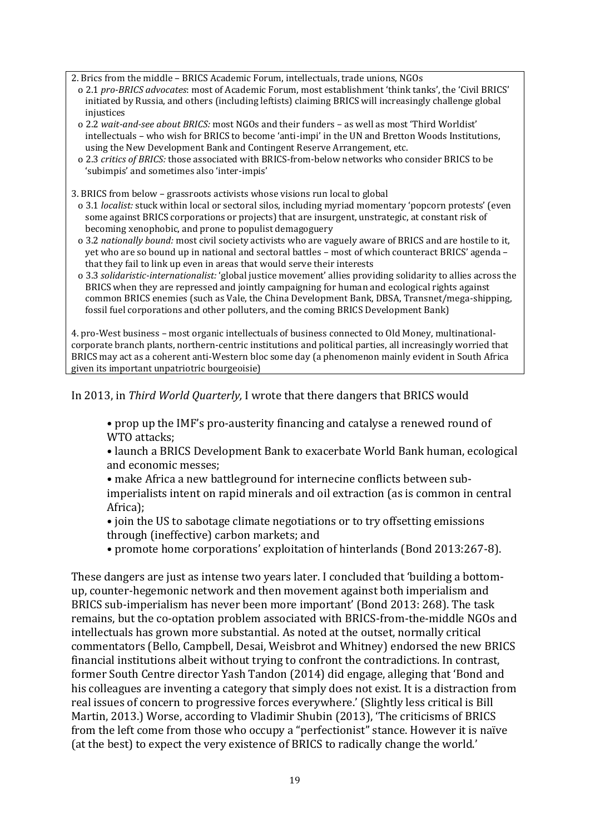2. Brics from the middle – BRICS Academic Forum, intellectuals, trade unions, NGOs

- o 2.1 *pro-BRICS advocates*: most of Academic Forum, most establishment 'think tanks', the 'Civil BRICS' initiated by Russia, and others (including leftists) claiming BRICS will increasingly challenge global injustices
- o 2.2 *wait-and-see about BRICS:* most NGOs and their funders as well as most 'Third Worldist' intellectuals – who wish for BRICS to become 'anti-impi' in the UN and Bretton Woods Institutions, using the New Development Bank and Contingent Reserve Arrangement, etc.
- o 2.3 *critics of BRICS:* those associated with BRICS-from-below networks who consider BRICS to be 'subimpis' and sometimes also 'inter-impis'
- 3. BRICS from below grassroots activists whose visions run local to global
	- o 3.1 *localist:* stuck within local or sectoral silos, including myriad momentary 'popcorn protests' (even some against BRICS corporations or projects) that are insurgent, unstrategic, at constant risk of becoming xenophobic, and prone to populist demagoguery
	- o 3.2 *nationally bound:* most civil society activists who are vaguely aware of BRICS and are hostile to it, yet who are so bound up in national and sectoral battles – most of which counteract BRICS' agenda – that they fail to link up even in areas that would serve their interests
	- o 3.3 *solidaristic-internationalist:* 'global justice movement' allies providing solidarity to allies across the BRICS when they are repressed and jointly campaigning for human and ecological rights against common BRICS enemies (such as Vale, the China Development Bank, DBSA, Transnet/mega-shipping, fossil fuel corporations and other polluters, and the coming BRICS Development Bank)

4. pro-West business – most organic intellectuals of business connected to Old Money, multinationalcorporate branch plants, northern-centric institutions and political parties, all increasingly worried that BRICS may act as a coherent anti-Western bloc some day (a phenomenon mainly evident in South Africa given its important unpatriotric bourgeoisie)

In 2013, in *Third World Quarterly,* I wrote that there dangers that BRICS would

• prop up the IMF's pro-austerity financing and catalyse a renewed round of WTO attacks;

- launch a BRICS Development Bank to exacerbate World Bank human, ecological and economic messes;
- make Africa a new battleground for internecine conflicts between subimperialists intent on rapid minerals and oil extraction (as is common in central Africa);
- join the US to sabotage climate negotiations or to try offsetting emissions through (ineffective) carbon markets; and
- promote home corporations' exploitation of hinterlands (Bond 2013:267-8).

These dangers are just as intense two years later. I concluded that 'building a bottomup, counter-hegemonic network and then movement against both imperialism and BRICS sub-imperialism has never been more important' (Bond 2013: 268). The task remains, but the co-optation problem associated with BRICS-from-the-middle NGOs and intellectuals has grown more substantial. As noted at the outset, normally critical commentators (Bello, Campbell, Desai, Weisbrot and Whitney) endorsed the new BRICS financial institutions albeit without trying to confront the contradictions. In contrast, former South Centre director Yash Tandon (2014) did engage, alleging that 'Bond and his colleagues are inventing a category that simply does not exist. It is a distraction from real issues of concern to progressive forces everywhere.' (Slightly less critical is Bill Martin, 2013.) Worse, according to Vladimir Shubin (2013), 'The criticisms of BRICS from the left come from those who occupy a "perfectionist" stance. However it is naïve (at the best) to expect the very existence of BRICS to radically change the world.'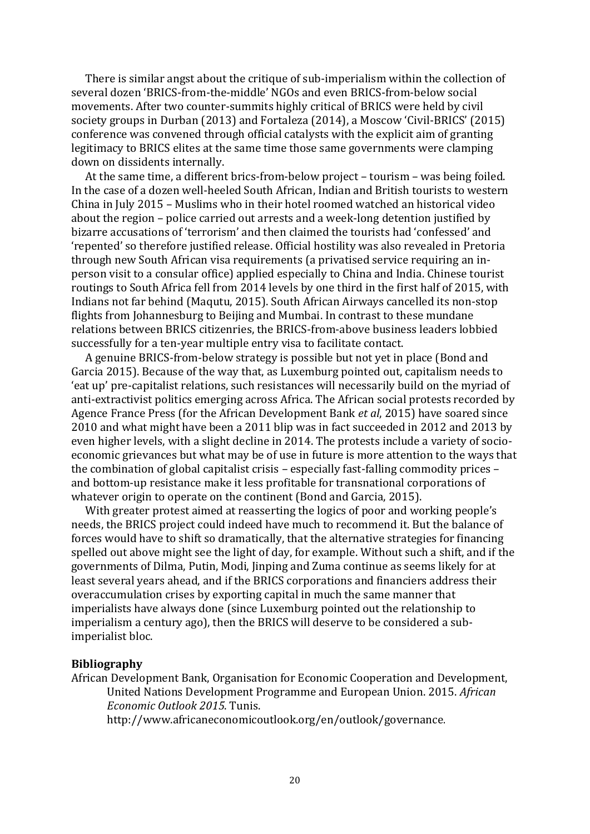There is similar angst about the critique of sub-imperialism within the collection of several dozen 'BRICS-from-the-middle' NGOs and even BRICS-from-below social movements. After two counter-summits highly critical of BRICS were held by civil society groups in Durban (2013) and Fortaleza (2014), a Moscow 'Civil-BRICS' (2015) conference was convened through official catalysts with the explicit aim of granting legitimacy to BRICS elites at the same time those same governments were clamping down on dissidents internally.

At the same time, a different brics-from-below project – tourism – was being foiled. In the case of a dozen well-heeled South African, Indian and British tourists to western China in July 2015 – Muslims who in their hotel roomed watched an historical video about the region – police carried out arrests and a week-long detention justified by bizarre accusations of 'terrorism' and then claimed the tourists had 'confessed' and 'repented' so therefore justified release. Official hostility was also revealed in Pretoria through new South African visa requirements (a privatised service requiring an inperson visit to a consular office) applied especially to China and India. Chinese tourist routings to South Africa fell from 2014 levels by one third in the first half of 2015, with Indians not far behind (Maqutu, 2015). South African Airways cancelled its non-stop flights from Johannesburg to Beijing and Mumbai. In contrast to these mundane relations between BRICS citizenries, the BRICS-from-above business leaders lobbied successfully for a ten-year multiple entry visa to facilitate contact.

A genuine BRICS-from-below strategy is possible but not yet in place (Bond and Garcia 2015). Because of the way that, as Luxemburg pointed out, capitalism needs to 'eat up' pre-capitalist relations, such resistances will necessarily build on the myriad of anti-extractivist politics emerging across Africa. The African social protests recorded by Agence France Press (for the African Development Bank *et al*, 2015) have soared since 2010 and what might have been a 2011 blip was in fact succeeded in 2012 and 2013 by even higher levels, with a slight decline in 2014. The protests include a variety of socioeconomic grievances but what may be of use in future is more attention to the ways that the combination of global capitalist crisis – especially fast-falling commodity prices – and bottom-up resistance make it less profitable for transnational corporations of whatever origin to operate on the continent (Bond and Garcia, 2015).

With greater protest aimed at reasserting the logics of poor and working people's needs, the BRICS project could indeed have much to recommend it. But the balance of forces would have to shift so dramatically, that the alternative strategies for financing spelled out above might see the light of day, for example. Without such a shift, and if the governments of Dilma, Putin, Modi, Jinping and Zuma continue as seems likely for at least several years ahead, and if the BRICS corporations and financiers address their overaccumulation crises by exporting capital in much the same manner that imperialists have always done (since Luxemburg pointed out the relationship to imperialism a century ago), then the BRICS will deserve to be considered a subimperialist bloc.

#### **Bibliography**

African Development Bank, Organisation for Economic Cooperation and Development, United Nations Development Programme and European Union. 2015. *African Economic Outlook 2015*. Tunis.

http://www.africaneconomicoutlook.org/en/outlook/governance.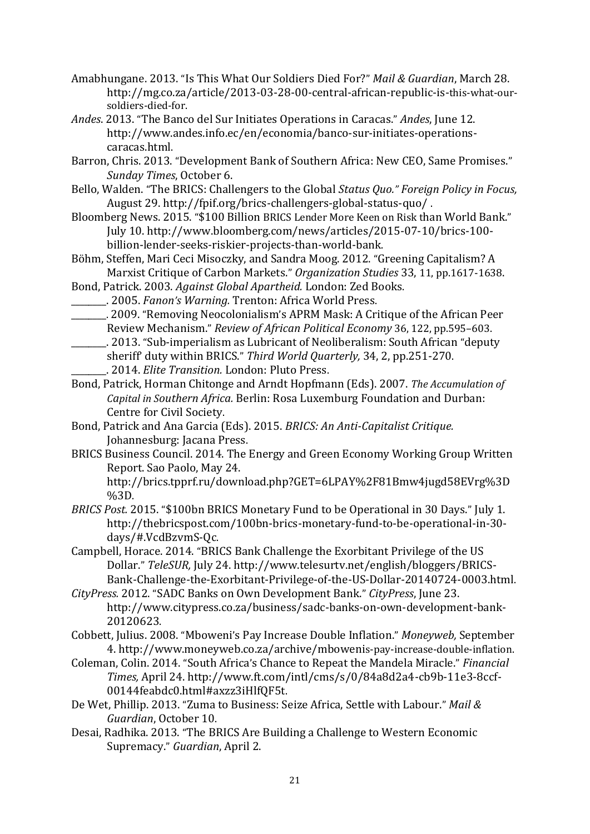- Amabhungane. 2013. "Is This What Our Soldiers Died For?" *Mail & Guardian*, March 28. http://mg.co.za/article/2013-03-28-00-central-african-republic-is-this-what-oursoldiers-died-for.
- *Andes*. 2013. "The Banco del Sur Initiates Operations in Caracas." *Andes*, June 12. http://www.andes.info.ec/en/economia/banco-sur-initiates-operationscaracas.html.
- Barron, Chris. 2013. "Development Bank of Southern Africa: New CEO, Same Promises." *Sunday Times*, October 6.
- Bello, Walden. "The BRICS: Challengers to the Global *Status Quo." Foreign Policy in Focus,*  August 29. http://fpif.org/brics-challengers-global-status-quo/ .
- Bloomberg News. 2015. "\$100 Billion BRICS Lender More Keen on Risk than World Bank." July 10. http://www.bloomberg.com/news/articles/2015-07-10/brics-100 billion-lender-seeks-riskier-projects-than-world-bank.
- Böhm, Steffen, Mari Ceci Misoczky, and Sandra Moog. 2012. "Greening Capitalism? A Marxist Critique of Carbon Markets." *Organization Studies* 33, 11, pp.1617-1638.
- Bond, Patrick. 2003. *Against Global Apartheid.* London: Zed Books.
- \_\_\_\_\_\_\_\_. 2005. *Fanon's Warning.* Trenton: Africa World Press.
- \_\_\_\_\_\_\_\_. 2009. "Removing Neocolonialism's APRM Mask: A Critique of the African Peer Review Mechanism." *Review of African Political Economy* 36, 122, pp.595–603.
- \_\_\_\_\_\_\_\_. 2013. "Sub-imperialism as Lubricant of Neoliberalism: South African "deputy sheriff' duty within BRICS." *Third World Quarterly,* 34, 2, pp.251-270. \_\_\_\_\_\_\_\_. 2014. *Elite Transition.* London: Pluto Press.
- Bond, Patrick, Horman Chitonge and Arndt Hopfmann (Eds). 2007. *The Accumulation of Capital in Southern Africa.* Berlin: Rosa Luxemburg Foundation and Durban: Centre for Civil Society.
- Bond, Patrick and Ana Garcia (Eds). 2015. *BRICS: An Anti-Capitalist Critique.*  Johannesburg: Jacana Press.
- BRICS Business Council. 2014. The Energy and Green Economy Working Group Written Report. Sao Paolo, May 24.

```
http://brics.tpprf.ru/download.php?GET=6LPAY%2F81Bmw4jugd58EVrg%3D
%3D.
```
- *BRICS Post.* 2015. "\$100bn BRICS Monetary Fund to be Operational in 30 Days." July 1. http://thebricspost.com/100bn-brics-monetary-fund-to-be-operational-in-30 days/#.VcdBzvmS-Qc.
- Campbell, Horace. 2014. "BRICS Bank Challenge the Exorbitant Privilege of the US Dollar." *TeleSUR,* July 24. http://www.telesurtv.net/english/bloggers/BRICS-Bank-Challenge-the-Exorbitant-Privilege-of-the-US-Dollar-20140724-0003.html.
- *CityPress.* 2012. "SADC Banks on Own Development Bank." *CityPress*, June 23. http://www.citypress.co.za/business/sadc-banks-on-own-development-bank-20120623.
- Cobbett, Julius. 2008. "Mboweni's Pay Increase Double Inflation." *Moneyweb,* September 4. http://www.moneyweb.co.za/archive/mbowenis-pay-increase-double-inflation.
- Coleman, Colin. 2014. "South Africa's Chance to Repeat the Mandela Miracle." *Financial Times,* April 24. http://www.ft.com/intl/cms/s/0/84a8d2a4-cb9b-11e3-8ccf-00144feabdc0.html#axzz3iHlfQF5t.
- De Wet, Phillip. 2013. "Zuma to Business: Seize Africa, Settle with Labour." *Mail & Guardian*, October 10.
- Desai, Radhika. 2013. "The BRICS Are Building a Challenge to Western Economic Supremacy." *Guardian*, April 2.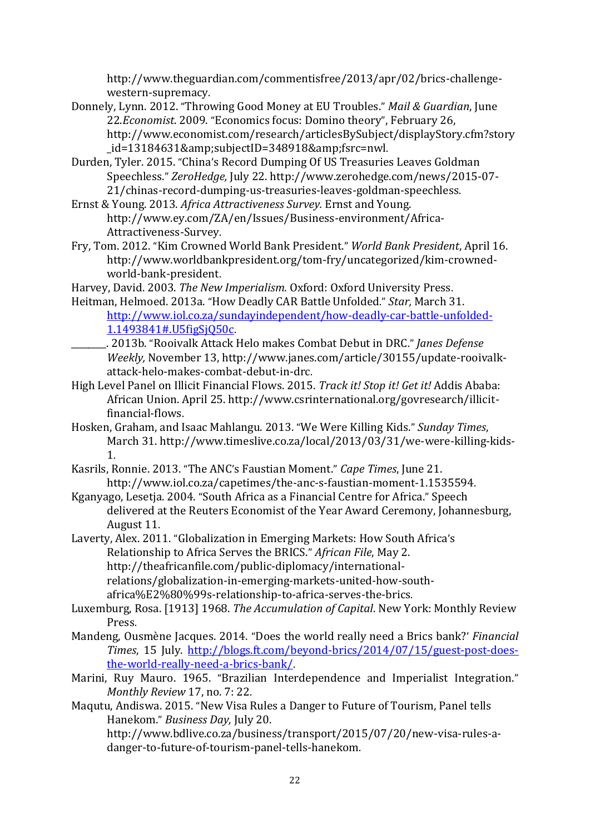http://www.theguardian.com/commentisfree/2013/apr/02/brics-challengewestern-supremacy.

- Donnely, Lynn. 2012. "Throwing Good Money at EU Troubles." *Mail & Guardian*, June 22.*Economist*. 2009. "Economics focus: Domino theory", February 26, [http://www.economist.com/research/articlesBySubject/displayStory.cfm?story](http://www.economist.com/research/articlesBySubject/displayStory.cfm?story_id=13184631&subjectID=348918&fsrc=nwl) id=13184631&subjectID=348918&fsrc=nwl.
- Durden, Tyler. 2015. "China's Record Dumping Of US Treasuries Leaves Goldman Speechless." *ZeroHedge,* July 22. http://www.zerohedge.com/news/2015-07- 21/chinas-record-dumping-us-treasuries-leaves-goldman-speechless.
- Ernst & Young. 2013. *Africa Attractiveness Survey.* Ernst and Young. http://www.ey.com/ZA/en/Issues/Business-environment/Africa-Attractiveness-Survey.
- Fry, Tom. 2012. "Kim Crowned World Bank President." *World Bank President*, April 16. http://www.worldbankpresident.org/tom-fry/uncategorized/kim-crownedworld-bank-president.
- Harvey, David. 2003. *The New Imperialism.* Oxford: Oxford University Press.
- Heitman, Helmoed. 2013a. "How Deadly CAR Battle Unfolded." *Star,* March 31. [http://www.iol.co.za/sundayindependent/how-deadly-car-battle-unfolded-](http://www.iol.co.za/sundayindependent/how-deadly-car-battle-unfolded-1.1493841#.U5figSjQ50c)[1.1493841#.U5figSjQ50c](http://www.iol.co.za/sundayindependent/how-deadly-car-battle-unfolded-1.1493841#.U5figSjQ50c).
- \_\_\_\_\_\_\_\_. 2013b. "Rooivalk Attack Helo makes Combat Debut in DRC." *Janes Defense Weekly,* November 13, http://www.janes.com/article/30155/update-rooivalkattack-helo-makes-combat-debut-in-drc.
- High Level Panel on Illicit Financial Flows. 2015. *Track it! Stop it! Get it!* Addis Ababa: African Union. April 25. http://www.csrinternational.org/govresearch/illicitfinancial-flows.
- Hosken, Graham, and Isaac Mahlangu. 2013. "We Were Killing Kids." *Sunday Times*, March 31. http://www.timeslive.co.za/local/2013/03/31/we-were-killing-kids-1.
- Kasrils, Ronnie. 2013. "The ANC's Faustian Moment." *Cape Times*, June 21. http://www.iol.co.za/capetimes/the-anc-s-faustian-moment-1.1535594.
- Kganyago, Lesetja. 2004. "South Africa as a Financial Centre for Africa." Speech delivered at the Reuters Economist of the Year Award Ceremony, Johannesburg, August 11.

Laverty, Alex. 2011. "Globalization in Emerging Markets: How South Africa's Relationship to Africa Serves the BRICS." *African File*, May 2. http://theafricanfile.com/public-diplomacy/internationalrelations/globalization-in-emerging-markets-united-how-southafrica%E2%80%99s-relationship-to-africa-serves-the-brics.

- Luxemburg, Rosa. [1913] 1968. *The Accumulation of Capital*. New York: Monthly Review Press.
- Mandeng, Ousmène Jacques. 2014. "Does the world really need a Brics bank?' *Financial Times*, 15 July. [http://blogs.ft.com/beyond-brics/2014/07/15/guest-post-does](http://blogs.ft.com/beyond-brics/2014/07/15/guest-post-does-the-world-really-need-a-brics-bank/)[the-world-really-need-a-brics-bank/](http://blogs.ft.com/beyond-brics/2014/07/15/guest-post-does-the-world-really-need-a-brics-bank/).
- Marini, Ruy Mauro. 1965. "Brazilian Interdependence and Imperialist Integration." *Monthly Review* 17, no. 7: 22.
- Maqutu, Andiswa. 2015. "New Visa Rules a Danger to Future of Tourism, Panel tells Hanekom." *Business Day,* July 20.

http://www.bdlive.co.za/business/transport/2015/07/20/new-visa-rules-adanger-to-future-of-tourism-panel-tells-hanekom.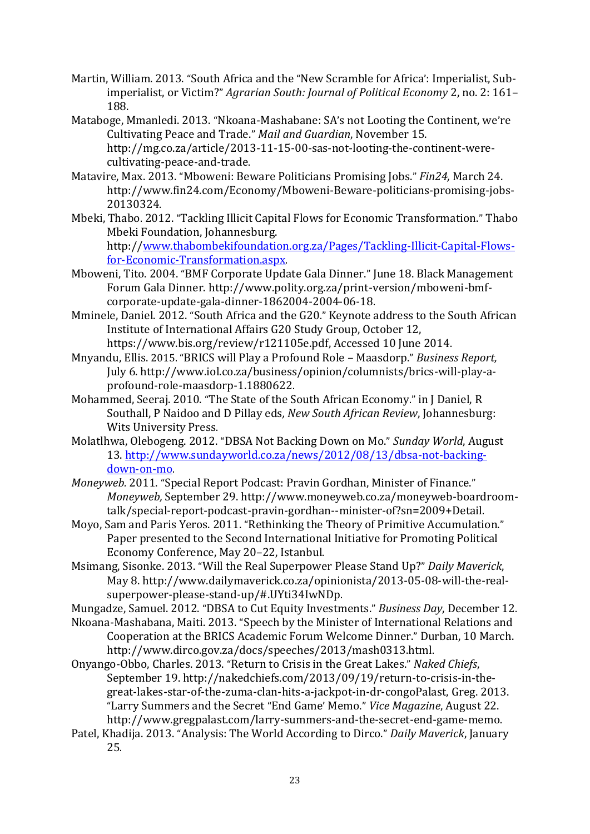- Martin, William. 2013. "South Africa and the "New Scramble for Africa': Imperialist, Subimperialist, or Victim?" *Agrarian South: Journal of Political Economy* 2, no. 2: 161– 188.
- Mataboge, Mmanledi. 2013. "Nkoana-Mashabane: SA's not Looting the Continent, we're Cultivating Peace and Trade." *Mail and Guardian*, November 15. http://mg.co.za/article/2013-11-15-00-sas-not-looting-the-continent-werecultivating-peace-and-trade.
- Matavire, Max. 2013. "Mboweni: Beware Politicians Promising Jobs." *Fin24,* March 24. http://www.fin24.com/Economy/Mboweni-Beware-politicians-promising-jobs-20130324.
- Mbeki, Thabo. 2012. "Tackling Illicit Capital Flows for Economic Transformation." Thabo Mbeki Foundation, Johannesburg. http:/[/www.thabombekifoundation.org.za/Pages/Tackling-Illicit-Capital-Flows](http://www.thabombekifoundation.org.za/Pages/Tackling-Illicit-Capital-Flows-for-Economic-Transformation.aspx)[for-Economic-Transformation.aspx](http://www.thabombekifoundation.org.za/Pages/Tackling-Illicit-Capital-Flows-for-Economic-Transformation.aspx).
- Mboweni, Tito. 2004. "BMF Corporate Update Gala Dinner." June 18. Black Management Forum Gala Dinner. http://www.polity.org.za/print-version/mboweni-bmfcorporate-update-gala-dinner-1862004-2004-06-18.
- Mminele, Daniel. 2012. "South Africa and the G20." Keynote address to the South African Institute of International Affairs G20 Study Group, October 12, https://www.bis.org/review/r121105e.pdf, Accessed 10 June 2014.
- Mnyandu, Ellis. 2015. "BRICS will Play a Profound Role Maasdorp." *Business Report,*  July 6. http://www.iol.co.za/business/opinion/columnists/brics-will-play-aprofound-role-maasdorp-1.1880622.
- Mohammed, Seeraj. 2010. "The State of the South African Economy." in J Daniel, R Southall, P Naidoo and D Pillay eds*, New South African Review*, Johannesburg: Wits University Press.
- Molatlhwa, Olebogeng. 2012. "DBSA Not Backing Down on Mo." *Sunday World*, August 13. [http://www.sundayworld.co.za/news/2012/08/13/dbsa-not-backing](http://www.sundayworld.co.za/news/2012/08/13/dbsa-not-backing-down-on-mo)[down-on-mo](http://www.sundayworld.co.za/news/2012/08/13/dbsa-not-backing-down-on-mo).
- *Moneyweb.* 2011. "Special Report Podcast: Pravin Gordhan, Minister of Finance." *Moneyweb,* September 29. http://www.moneyweb.co.za/moneyweb-boardroomtalk/special-report-podcast-pravin-gordhan--minister-of?sn=2009+Detail.
- Moyo, Sam and Paris Yeros. 2011. "Rethinking the Theory of Primitive Accumulation." Paper presented to the Second International Initiative for Promoting Political Economy Conference, May 20–22, Istanbul.
- Msimang, Sisonke. 2013. "Will the Real Superpower Please Stand Up?" *Daily Maverick*, May 8. http://www.dailymaverick.co.za/opinionista/2013-05-08-will-the-realsuperpower-please-stand-up/#.UYti34IwNDp.
- Mungadze, Samuel. 2012. "DBSA to Cut Equity Investments." *Business Day*, December 12.
- Nkoana-Mashabana, Maiti. 2013. "Speech by the Minister of International Relations and Cooperation at the BRICS Academic Forum Welcome Dinner." Durban, 10 March. http://www.dirco.gov.za/docs/speeches/2013/mash0313.html.
- Onyango-Obbo, Charles. 2013. "Return to Crisis in the Great Lakes." *Naked Chiefs*, September 19. http://nakedchiefs.com/2013/09/19/return-to-crisis-in-thegreat-lakes-star-of-the-zuma-clan-hits-a-jackpot-in-dr-congoPalast, Greg. 2013. "Larry Summers and the Secret "End Game' Memo." *Vice Magazine*, August 22. http://www.gregpalast.com/larry-summers-and-the-secret-end-game-memo.
- Patel, Khadija. 2013. "Analysis: The World According to Dirco." *Daily Maverick*, January 25.